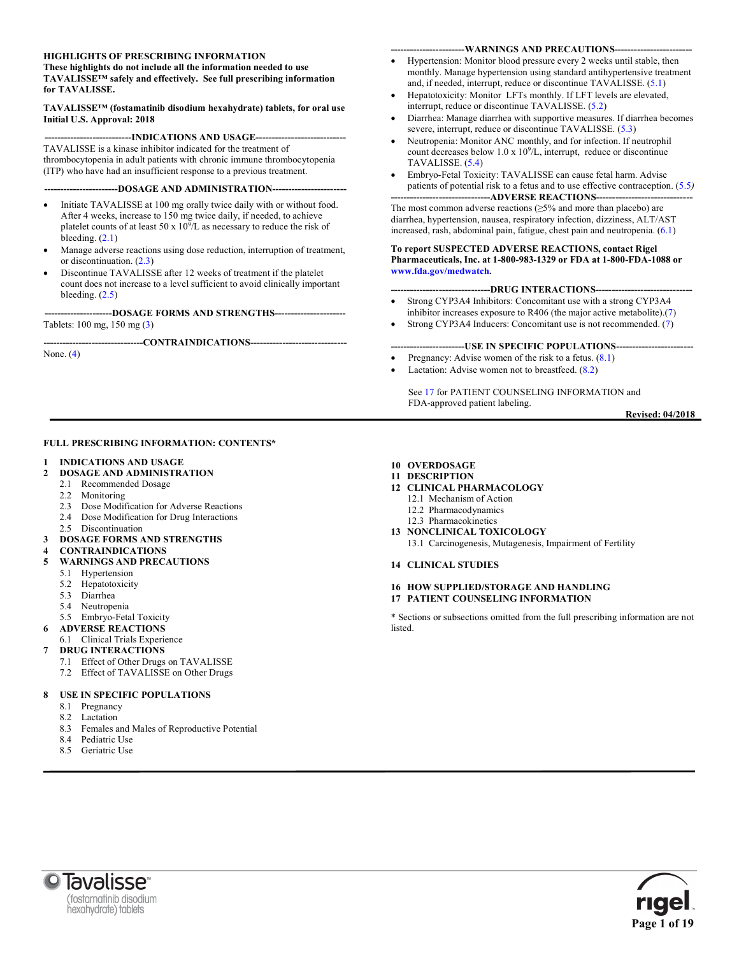#### **HIGHLIGHTS OF PRESCRIBING INFORMATION**

**These highlights do not include all the information needed to use TAVALISSE™ safely and effectively. See full prescribing information for TAVALISSE.**

**TAVALISSE™ (fostamatinib disodium hexahydrate) tablets, for oral use Initial U.S. Approval: 2018**

**---------------------------INDICATIONS AND USAGE----------------------------** TAVALISSE is a kinase inhibitor indicated for the treatment of thrombocytopenia in adult patients with chronic immune thrombocytopenia (ITP) who have had an insufficient response to a previous treatment.

---DOSAGE AND ADMINISTRATION-

- Initiate TAVALISSE at 100 mg orally twice daily with or without food. After 4 weeks, increase to 150 mg twice daily, if needed, to achieve platelet counts of at least 50 x  $10^9$ /L as necessary to reduce the risk of bleeding.  $(2.1)$
- Manage adverse reactions using dose reduction, interruption of treatment, or discontinuation. (2.3)
- Discontinue TAVALISSE after 12 weeks of treatment if the platelet count does not increase to a level sufficient to avoid clinically important bleeding. (2.5)

**---------------------DOSAGE FORMS AND STRENGTHS----------------------** Tablets: 100 mg, 150 mg (3)

**FULL PRESCRIBING INFORMATION: CONTENTS\***

2.3 Dose Modification for Adverse Reactions 2.4 Dose Modification for Drug Interactions

7.1 Effect of Other Drugs on TAVALISSE 7.2 Effect of TAVALISSE on Other Drugs

8.3 Females and Males of Reproductive Potential

**8 USE IN SPECIFIC POPULATIONS**

**3 DOSAGE FORMS AND STRENGTHS 4 CONTRAINDICATIONS 5 WARNINGS AND PRECAUTIONS**

**1 INDICATIONS AND USAGE 2 DOSAGE AND ADMINISTRATION** 2.1 Recommended Dosage

2.2 Monitoring

2.5 Discontinuation

5.1 Hypertension 5.2 Hepatotoxicity 5.3 Diarrhea 5.4 Neutropenia 5.5 Embryo-Fetal Toxicity **6 ADVERSE REACTIONS** 6.1 Clinical Trials Experience **7 DRUG INTERACTIONS**

> 8.1 Pregnancy 8.2 Lactation

8.4 Pediatric Use 8.5 Geriatric Use

**-------------------------------CONTRAINDICATIONS------------------------------**

None. (4)

#### **10 OVERDOSAGE**

- **11 DESCRIPTION**
- **12 CLINICAL PHARMACOLOGY**
	- 12.1 Mechanism of Action
	- 12.2 Pharmacodynamics
- 12.3 Pharmacokinetics **13 NONCLINICAL TOXICOLOGY**
	- 13.1 Carcinogenesis, Mutagenesis, Impairment of Fertility

#### **14 CLINICAL STUDIES**

#### **16 HOW SUPPLIED/STORAGE AND HANDLING 17 PATIENT COUNSELING INFORMATION**

\* Sections or subsections omitted from the full prescribing information are not listed.

O lavalisse<sup>®</sup> (fostamatinib disodium hexahydrate) tablets



- --WARNINGS AND PRECAUTIONS---
- Hypertension: Monitor blood pressure every 2 weeks until stable, then monthly. Manage hypertension using standard antihypertensive treatment and, if needed, interrupt, reduce or discontinue TAVALISSE. (5.1)
- Hepatotoxicity: Monitor LFTs monthly. If LFT levels are elevated, interrupt, reduce or discontinue TAVALISSE. (5.2)
- Diarrhea: Manage diarrhea with supportive measures. If diarrhea becomes severe, interrupt, reduce or discontinue TAVALISSE. (5.3)
- Neutropenia: Monitor ANC monthly, and for infection. If neutrophil count decreases below  $1.0 \times 10^9$ /L, interrupt, reduce or discontinue TAVALISSE. (5.4)
- Embryo-Fetal Toxicity: TAVALISSE can cause fetal harm. Advise patients of potential risk to a fetus and to use effective contraception. (5.5*)*  ---ADVERSE REACTIONS--

The most common adverse reactions  $(\geq 5\%$  and more than placebo) are diarrhea, hypertension, nausea, respiratory infection, dizziness, ALT/AST increased, rash, abdominal pain, fatigue, chest pain and neutropenia. (6.1)

**To report SUSPECTED ADVERSE REACTIONS, contact Rigel Pharmaceuticals, Inc. at 1-800-983-1329 or FDA at 1-800-FDA-1088 or www.fda.gov/medwatch.** 

#### **-------------------------------DRUG INTERACTIONS------------------------------**

- Strong CYP3A4 Inhibitors: Concomitant use with a strong CYP3A4 inhibitor increases exposure to R406 (the major active metabolite).(7)
- Strong CYP3A4 Inducers: Concomitant use is not recommended. (7)

#### ---USE IN SPECIFIC POPULATIONS--

- Pregnancy: Advise women of the risk to a fetus.  $(8.1)$
- Lactation: Advise women not to breastfeed.  $(8.2)$

See 17 for PATIENT COUNSELING INFORMATION and FDA-approved patient labeling.

**Revised: 04/2018**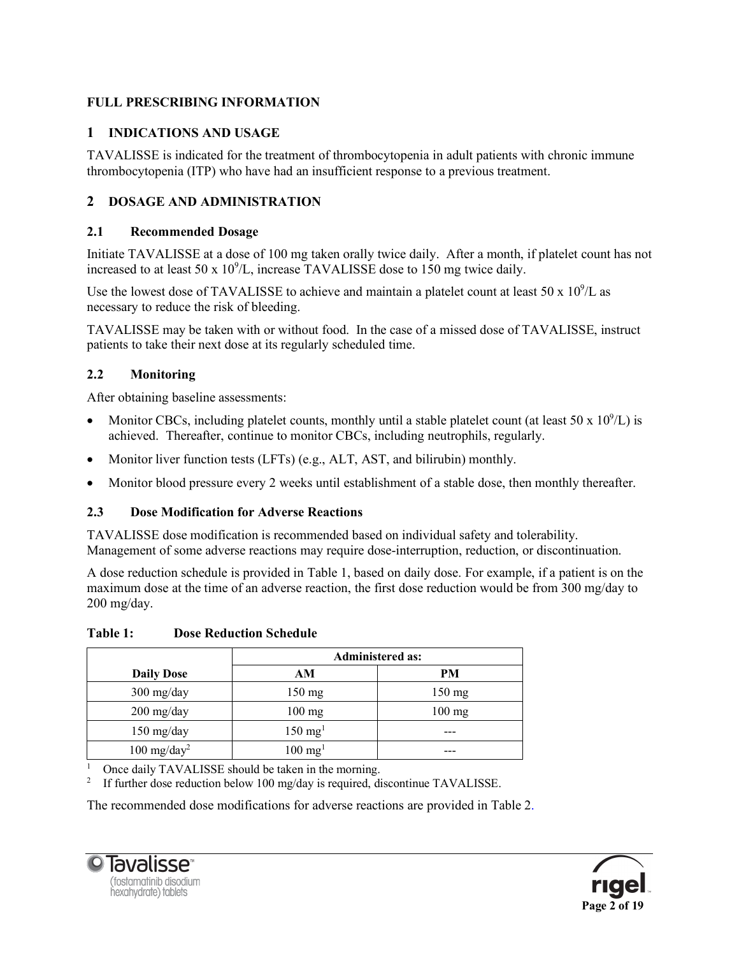# **FULL PRESCRIBING INFORMATION**

# **1 INDICATIONS AND USAGE**

TAVALISSE is indicated for the treatment of thrombocytopenia in adult patients with chronic immune thrombocytopenia (ITP) who have had an insufficient response to a previous treatment.

# **2 DOSAGE AND ADMINISTRATION**

# **2.1 Recommended Dosage**

Initiate TAVALISSE at a dose of 100 mg taken orally twice daily. After a month, if platelet count has not increased to at least 50 x  $10^9$ /L, increase TAVALISSE dose to 150 mg twice daily.

Use the lowest dose of TAVALISSE to achieve and maintain a platelet count at least  $50 \times 10^9$ /L as necessary to reduce the risk of bleeding.

TAVALISSE may be taken with or without food. In the case of a missed dose of TAVALISSE, instruct patients to take their next dose at its regularly scheduled time.

# **2.2 Monitoring**

After obtaining baseline assessments:

- Monitor CBCs, including platelet counts, monthly until a stable platelet count (at least 50 x  $10^9$ /L) is achieved. Thereafter, continue to monitor CBCs, including neutrophils, regularly.
- Monitor liver function tests (LFTs) (e.g., ALT, AST, and bilirubin) monthly.
- Monitor blood pressure every 2 weeks until establishment of a stable dose, then monthly thereafter.

# **2.3 Dose Modification for Adverse Reactions**

TAVALISSE dose modification is recommended based on individual safety and tolerability. Management of some adverse reactions may require dose-interruption, reduction, or discontinuation.

A dose reduction schedule is provided in Table 1, based on daily dose. For example, if a patient is on the maximum dose at the time of an adverse reaction, the first dose reduction would be from 300 mg/day to 200 mg/day.

## **Table 1: Dose Reduction Schedule**

|                                    | <b>Administered as:</b> |                  |  |  |
|------------------------------------|-------------------------|------------------|--|--|
| <b>Daily Dose</b>                  | AМ                      | PM               |  |  |
| $300 \frac{\text{mg}}{\text{day}}$ | 150 mg                  | $150 \text{ mg}$ |  |  |
| $200$ mg/day                       | $100 \text{ mg}$        | $100$ mg         |  |  |
| $150$ mg/day                       | $150 \text{ mg}^1$      |                  |  |  |
| $100 \text{ mg/day}^2$             | $100 \text{ mg}^1$      |                  |  |  |

<sup>1</sup> Once daily TAVALISSE should be taken in the morning.

<sup>2</sup> If further dose reduction below 100 mg/day is required, discontinue TAVALISSE.

The recommended dose modifications for adverse reactions are provided in Table 2.



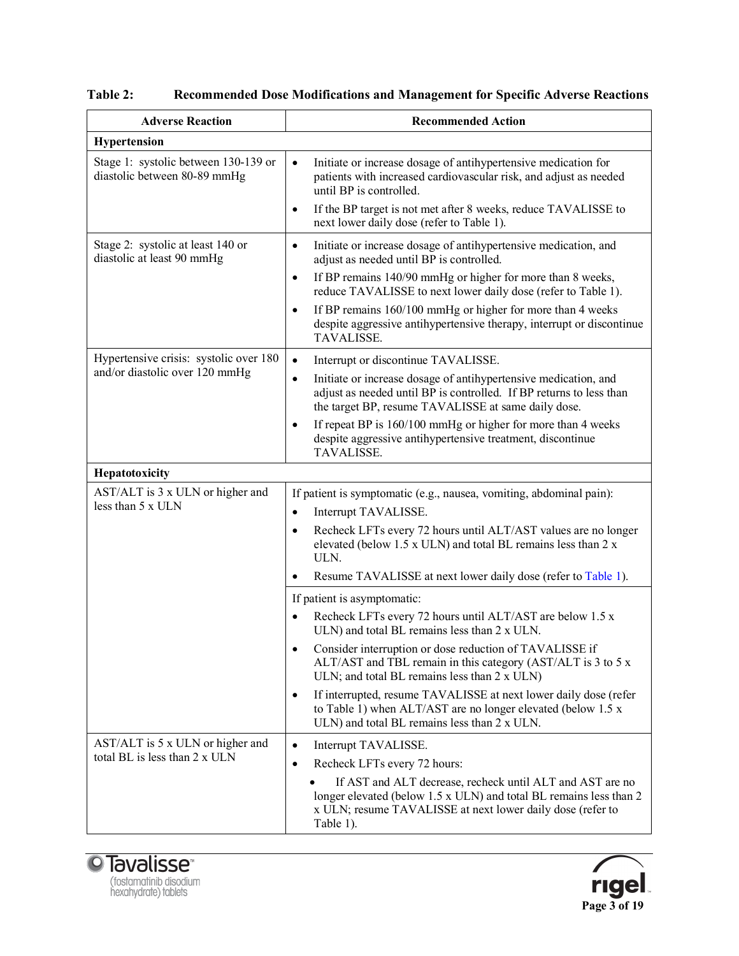| <b>Adverse Reaction</b>                                                  | <b>Recommended Action</b>                                                                                                                                                                                                                                                                                                                                                                                                                                                                                                 |  |  |
|--------------------------------------------------------------------------|---------------------------------------------------------------------------------------------------------------------------------------------------------------------------------------------------------------------------------------------------------------------------------------------------------------------------------------------------------------------------------------------------------------------------------------------------------------------------------------------------------------------------|--|--|
| Hypertension                                                             |                                                                                                                                                                                                                                                                                                                                                                                                                                                                                                                           |  |  |
| Stage 1: systolic between 130-139 or<br>diastolic between 80-89 mmHg     | Initiate or increase dosage of antihypertensive medication for<br>$\bullet$<br>patients with increased cardiovascular risk, and adjust as needed<br>until BP is controlled.<br>If the BP target is not met after 8 weeks, reduce TAVALISSE to<br>$\bullet$<br>next lower daily dose (refer to Table 1).                                                                                                                                                                                                                   |  |  |
| Stage 2: systolic at least 140 or<br>diastolic at least 90 mmHg          | Initiate or increase dosage of antihypertensive medication, and<br>$\bullet$<br>adjust as needed until BP is controlled.<br>If BP remains 140/90 mmHg or higher for more than 8 weeks,<br>$\bullet$<br>reduce TAVALISSE to next lower daily dose (refer to Table 1).<br>If BP remains 160/100 mmHg or higher for more than 4 weeks<br>$\bullet$<br>despite aggressive antihypertensive therapy, interrupt or discontinue<br><b>TAVALISSE.</b>                                                                             |  |  |
| Hypertensive crisis: systolic over 180<br>and/or diastolic over 120 mmHg | Interrupt or discontinue TAVALISSE.<br>$\bullet$<br>Initiate or increase dosage of antihypertensive medication, and<br>$\bullet$<br>adjust as needed until BP is controlled. If BP returns to less than<br>the target BP, resume TAVALISSE at same daily dose.<br>If repeat BP is 160/100 mmHg or higher for more than 4 weeks<br>$\bullet$<br>despite aggressive antihypertensive treatment, discontinue<br>TAVALISSE.                                                                                                   |  |  |
| Hepatotoxicity                                                           |                                                                                                                                                                                                                                                                                                                                                                                                                                                                                                                           |  |  |
| AST/ALT is 3 x ULN or higher and<br>less than 5 x ULN                    | If patient is symptomatic (e.g., nausea, vomiting, abdominal pain):<br>Interrupt TAVALISSE.<br>$\bullet$<br>Recheck LFTs every 72 hours until ALT/AST values are no longer<br>$\bullet$<br>elevated (below 1.5 x ULN) and total BL remains less than 2 x<br>ULN.                                                                                                                                                                                                                                                          |  |  |
|                                                                          | Resume TAVALISSE at next lower daily dose (refer to Table 1).                                                                                                                                                                                                                                                                                                                                                                                                                                                             |  |  |
|                                                                          | If patient is asymptomatic:<br>Recheck LFTs every 72 hours until ALT/AST are below 1.5 x<br>$\bullet$<br>ULN) and total BL remains less than 2 x ULN.<br>Consider interruption or dose reduction of TAVALISSE if<br>ALT/AST and TBL remain in this category (AST/ALT is 3 to 5 x<br>ULN; and total BL remains less than 2 x ULN)<br>If interrupted, resume TAVALISSE at next lower daily dose (refer<br>٠<br>to Table 1) when ALT/AST are no longer elevated (below 1.5 x<br>ULN) and total BL remains less than 2 x ULN. |  |  |
| AST/ALT is 5 x ULN or higher and<br>total BL is less than 2 x ULN        | Interrupt TAVALISSE.<br>$\bullet$<br>Recheck LFTs every 72 hours:<br>٠<br>If AST and ALT decrease, recheck until ALT and AST are no<br>longer elevated (below 1.5 x ULN) and total BL remains less than 2<br>x ULN; resume TAVALISSE at next lower daily dose (refer to<br>Table 1).                                                                                                                                                                                                                                      |  |  |

# **Table 2: Recommended Dose Modifications and Management for Specific Adverse Reactions**



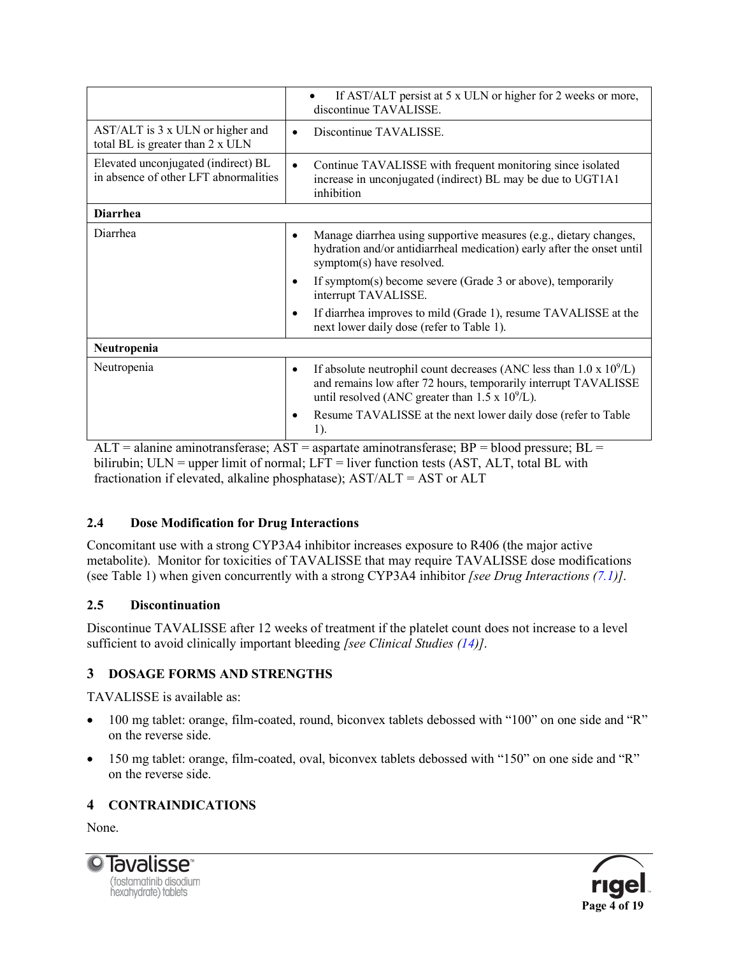|                                                                              | If AST/ALT persist at 5 x ULN or higher for 2 weeks or more,<br>discontinue TAVALISSE.                                                                                                                           |
|------------------------------------------------------------------------------|------------------------------------------------------------------------------------------------------------------------------------------------------------------------------------------------------------------|
| AST/ALT is 3 x ULN or higher and<br>total BL is greater than 2 x ULN         | Discontinue TAVALISSE.                                                                                                                                                                                           |
| Elevated unconjugated (indirect) BL<br>in absence of other LFT abnormalities | Continue TAVALISSE with frequent monitoring since isolated<br>$\bullet$<br>increase in unconjugated (indirect) BL may be due to UGT1A1<br>inhibition                                                             |
| <b>Diarrhea</b>                                                              |                                                                                                                                                                                                                  |
| Diarrhea                                                                     | Manage diarrhea using supportive measures (e.g., dietary changes,<br>$\bullet$<br>hydration and/or antidiarrheal medication) early after the onset until<br>symptom(s) have resolved.                            |
|                                                                              | If symptom(s) become severe (Grade 3 or above), temporarily<br>٠<br>interrupt TAVALISSE.                                                                                                                         |
|                                                                              | If diarrhea improves to mild (Grade 1), resume TAVALISSE at the<br>$\bullet$<br>next lower daily dose (refer to Table 1).                                                                                        |
| Neutropenia                                                                  |                                                                                                                                                                                                                  |
| Neutropenia                                                                  | If absolute neutrophil count decreases (ANC less than $1.0 \times 10^9$ /L)<br>٠<br>and remains low after 72 hours, temporarily interrupt TAVALISSE<br>until resolved (ANC greater than $1.5 \times 10^9$ /L).   |
|                                                                              | Resume TAVALISSE at the next lower daily dose (refer to Table<br>٠<br>1).<br>$\Lambda$ U.T. $\sim$ algoring conjugate program $\Lambda$ C.T. $\sim$ consultate conjugate programs. DD $\sim$ klass demograms. DL |

 $ALT =$  alanine aminotransferase;  $AST =$  aspartate aminotransferase;  $BP =$  blood pressure;  $BL =$ bilirubin;  $ULN =$  upper limit of normal;  $LFT =$  liver function tests (AST, ALT, total BL with fractionation if elevated, alkaline phosphatase); AST/ALT = AST or ALT

# **2.4 Dose Modification for Drug Interactions**

Concomitant use with a strong CYP3A4 inhibitor increases exposure to R406 (the major active metabolite). Monitor for toxicities of TAVALISSE that may require TAVALISSE dose modifications (see Table 1) when given concurrently with a strong CYP3A4 inhibitor *[see Drug Interactions (7.1)]*.

## **2.5 Discontinuation**

Discontinue TAVALISSE after 12 weeks of treatment if the platelet count does not increase to a level sufficient to avoid clinically important bleeding *[see Clinical Studies (14)]*.

# **3 DOSAGE FORMS AND STRENGTHS**

TAVALISSE is available as:

- 100 mg tablet: orange, film-coated, round, biconvex tablets debossed with "100" on one side and "R" on the reverse side.
- 150 mg tablet: orange, film-coated, oval, biconvex tablets debossed with "150" on one side and "R" on the reverse side.

# **4 CONTRAINDICATIONS**

None.



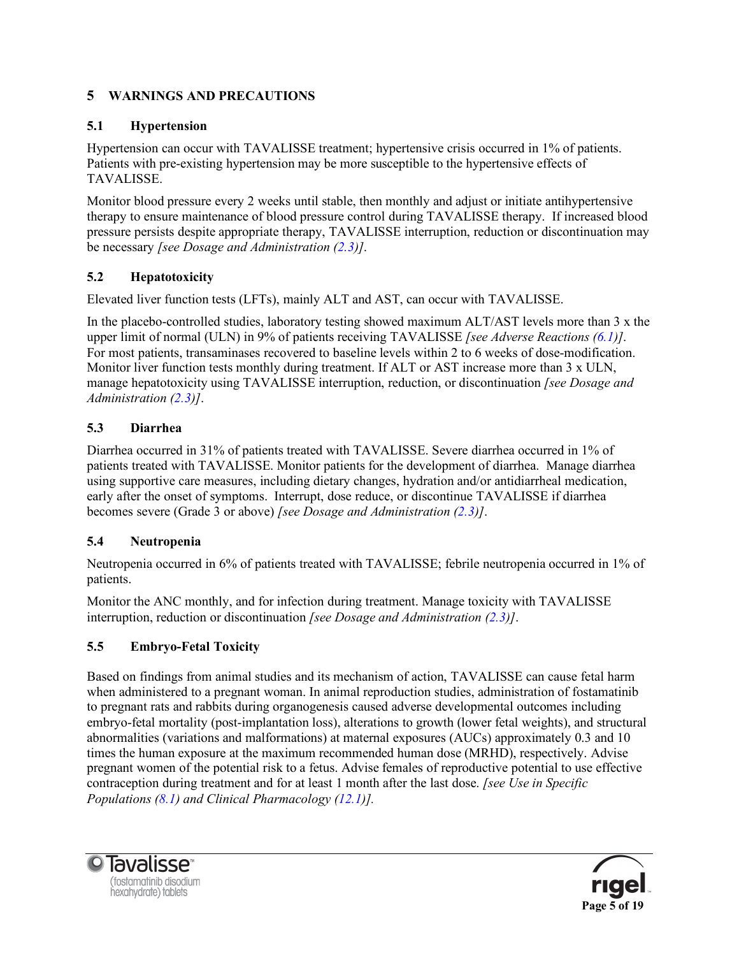# **5 WARNINGS AND PRECAUTIONS**

# **5.1 Hypertension**

Hypertension can occur with TAVALISSE treatment; hypertensive crisis occurred in 1% of patients. Patients with pre-existing hypertension may be more susceptible to the hypertensive effects of TAVALISSE.

Monitor blood pressure every 2 weeks until stable, then monthly and adjust or initiate antihypertensive therapy to ensure maintenance of blood pressure control during TAVALISSE therapy. If increased blood pressure persists despite appropriate therapy, TAVALISSE interruption, reduction or discontinuation may be necessary *[see Dosage and Administration (2.3)]*.

# **5.2 Hepatotoxicity**

Elevated liver function tests (LFTs), mainly ALT and AST, can occur with TAVALISSE.

In the placebo-controlled studies, laboratory testing showed maximum ALT/AST levels more than 3 x the upper limit of normal (ULN) in 9% of patients receiving TAVALISSE *[see Adverse Reactions (6.1)]*. For most patients, transaminases recovered to baseline levels within 2 to 6 weeks of dose-modification. Monitor liver function tests monthly during treatment. If ALT or AST increase more than 3 x ULN, manage hepatotoxicity using TAVALISSE interruption, reduction, or discontinuation *[see Dosage and Administration (2.3)]*.

# **5.3 Diarrhea**

Diarrhea occurred in 31% of patients treated with TAVALISSE. Severe diarrhea occurred in 1% of patients treated with TAVALISSE. Monitor patients for the development of diarrhea. Manage diarrhea using supportive care measures, including dietary changes, hydration and/or antidiarrheal medication, early after the onset of symptoms. Interrupt, dose reduce, or discontinue TAVALISSE if diarrhea becomes severe (Grade 3 or above) *[see Dosage and Administration (2.3)]*.

# **5.4 Neutropenia**

Neutropenia occurred in 6% of patients treated with TAVALISSE; febrile neutropenia occurred in 1% of patients.

Monitor the ANC monthly, and for infection during treatment. Manage toxicity with TAVALISSE interruption, reduction or discontinuation *[see Dosage and Administration (2.3)]*.

# **5.5 Embryo-Fetal Toxicity**

Based on findings from animal studies and its mechanism of action, TAVALISSE can cause fetal harm when administered to a pregnant woman. In animal reproduction studies, administration of fostamatinib to pregnant rats and rabbits during organogenesis caused adverse developmental outcomes including embryo-fetal mortality (post-implantation loss), alterations to growth (lower fetal weights), and structural abnormalities (variations and malformations) at maternal exposures (AUCs) approximately 0.3 and 10 times the human exposure at the maximum recommended human dose (MRHD), respectively. Advise pregnant women of the potential risk to a fetus. Advise females of reproductive potential to use effective contraception during treatment and for at least 1 month after the last dose. *[see Use in Specific Populations (8.1) and Clinical Pharmacology (12.1)].*



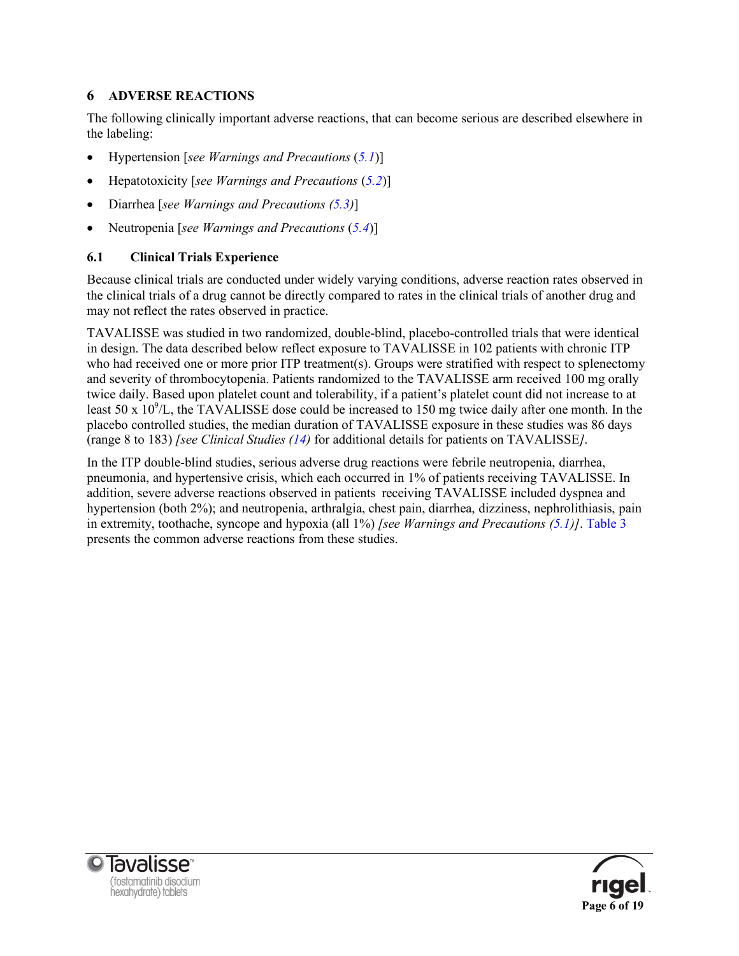# **6 ADVERSE REACTIONS**

The following clinically important adverse reactions, that can become serious are described elsewhere in the labeling:

- Hypertension [*see Warnings and Precautions* (*5.1*)]
- Hepatotoxicity [*see Warnings and Precautions* (*5.2*)]
- Diarrhea [*see Warnings and Precautions (5.3)*]
- Neutropenia [*see Warnings and Precautions* (*5.4*)]

#### **6.1 Clinical Trials Experience**

Because clinical trials are conducted under widely varying conditions, adverse reaction rates observed in the clinical trials of a drug cannot be directly compared to rates in the clinical trials of another drug and may not reflect the rates observed in practice.

TAVALISSE was studied in two randomized, double-blind, placebo-controlled trials that were identical in design. The data described below reflect exposure to TAVALISSE in 102 patients with chronic ITP who had received one or more prior ITP treatment(s). Groups were stratified with respect to splenectomy and severity of thrombocytopenia. Patients randomized to the TAVALISSE arm received 100 mg orally twice daily. Based upon platelet count and tolerability, if a patient's platelet count did not increase to at least 50 x  $10^9$ /L, the TAVALISSE dose could be increased to 150 mg twice daily after one month. In the placebo controlled studies, the median duration of TAVALISSE exposure in these studies was 86 days (range 8 to 183) *[see Clinical Studies (14)* for additional details for patients on TAVALISSE*]*.

In the ITP double-blind studies, serious adverse drug reactions were febrile neutropenia, diarrhea, pneumonia, and hypertensive crisis, which each occurred in 1% of patients receiving TAVALISSE. In addition, severe adverse reactions observed in patients receiving TAVALISSE included dyspnea and hypertension (both 2%); and neutropenia, arthralgia, chest pain, diarrhea, dizziness, nephrolithiasis, pain in extremity, toothache, syncope and hypoxia (all 1%) *[see Warnings and Precautions (5.1)]*. Table 3 presents the common adverse reactions from these studies.



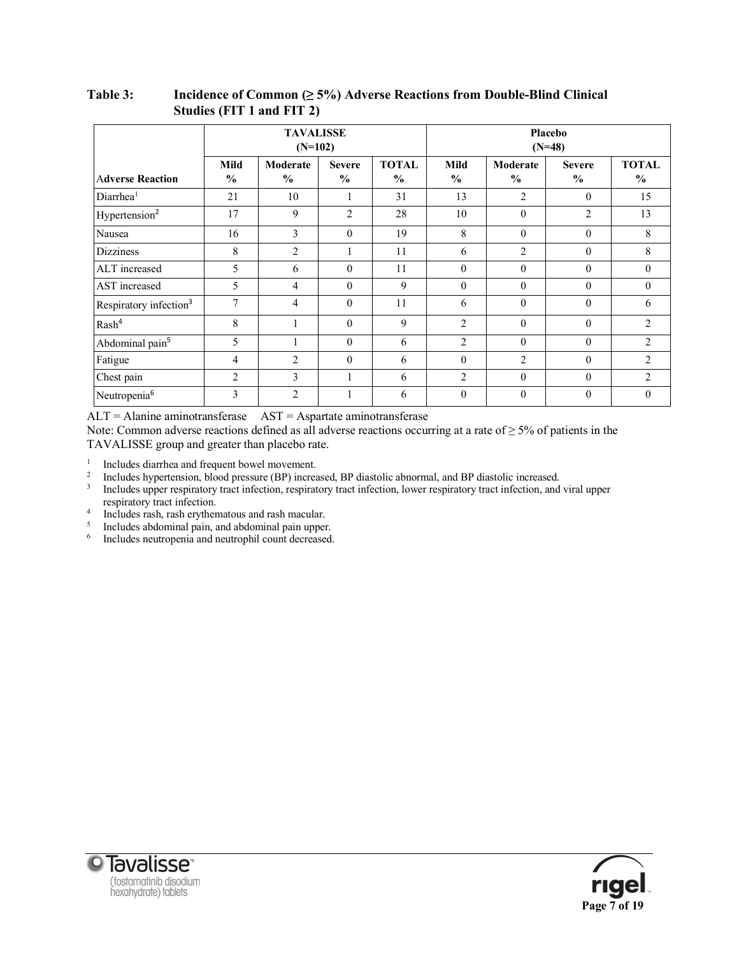|                                    | <b>TAVALISSE</b><br>$(N=102)$ |                           |                                | <b>Placebo</b><br>$(N=48)$    |                       |                           |                                |                               |
|------------------------------------|-------------------------------|---------------------------|--------------------------------|-------------------------------|-----------------------|---------------------------|--------------------------------|-------------------------------|
| <b>Adverse Reaction</b>            | Mild<br>$\frac{6}{6}$         | Moderate<br>$\frac{6}{6}$ | <b>Severe</b><br>$\frac{0}{0}$ | <b>TOTAL</b><br>$\frac{0}{0}$ | Mild<br>$\frac{0}{0}$ | Moderate<br>$\frac{0}{0}$ | <b>Severe</b><br>$\frac{0}{0}$ | <b>TOTAL</b><br>$\frac{0}{0}$ |
| $Diar$ rhea <sup>1</sup>           | 21                            | 10                        | 1                              | 31                            | 13                    | 2                         | $\overline{0}$                 | 15                            |
| Hypertension <sup>2</sup>          | 17                            | 9                         | $\overline{2}$                 | 28                            | 10                    | $\theta$                  | $\overline{c}$                 | 13                            |
| Nausea                             | 16                            | 3                         | $\theta$                       | 19                            | 8                     | $\theta$                  | $\overline{0}$                 | 8                             |
| <b>Dizziness</b>                   | 8                             | $\overline{2}$            |                                | 11                            | 6                     | $\overline{2}$            | $\overline{0}$                 | 8                             |
| ALT increased                      | 5                             | 6                         | $\theta$                       | 11                            | $\theta$              | $\theta$                  | $\theta$                       | $\theta$                      |
| AST increased                      | 5                             | 4                         | $\Omega$                       | 9                             | $\overline{0}$        | $\theta$                  | $\boldsymbol{0}$               | $\mathbf{0}$                  |
| Respiratory infection <sup>3</sup> | 7                             | 4                         | $\theta$                       | 11                            | 6                     | $\mathbf{0}$              | $\boldsymbol{0}$               | 6                             |
| Rash <sup>4</sup>                  | 8                             |                           | $\theta$                       | 9                             | $\overline{2}$        | $\theta$                  | $\theta$                       | 2                             |
| Abdominal pain <sup>5</sup>        | 5                             |                           | $\theta$                       | 6                             | $\overline{2}$        | $\theta$                  | $\overline{0}$                 | 2                             |
| Fatigue                            | 4                             | $\overline{2}$            | $\theta$                       | 6                             | $\theta$              | $\overline{2}$            | $\theta$                       | 2                             |
| Chest pain                         | $\overline{2}$                | 3                         |                                | 6                             | $\overline{c}$        | $\theta$                  | $\theta$                       | 2                             |
| Neutropenia <sup>6</sup>           | 3                             | $\overline{c}$            |                                | 6                             | $\boldsymbol{0}$      | $\mathbf{0}$              | $\boldsymbol{0}$               | $\mathbf{0}$                  |

**Table 3: Incidence of Common (≥ 5%) Adverse Reactions from Double-Blind Clinical Studies (FIT 1 and FIT 2)**

 $ALT =$  Alanine aminotransferase  $AST =$  Aspartate aminotransferase

Note: Common adverse reactions defined as all adverse reactions occurring at a rate of  $\geq$  5% of patients in the TAVALISSE group and greater than placebo rate.

<sup>1</sup> Includes diarrhea and frequent bowel movement.

<sup>2</sup> Includes hypertension, blood pressure (BP) increased, BP diastolic abnormal, and BP diastolic increased.<br><sup>3</sup> Includes upper respiratory tract infection, respiratory tract infection, lower respiratory tract infection, a

- <sup>3</sup> Includes upper respiratory tract infection, respiratory tract infection, lower respiratory tract infection, and viral upper respiratory tract infection.
- <sup>4</sup> Includes rash, rash erythematous and rash macular.
- <sup>5</sup> Includes abdominal pain, and abdominal pain upper.
- <sup>6</sup> Includes neutropenia and neutrophil count decreased.



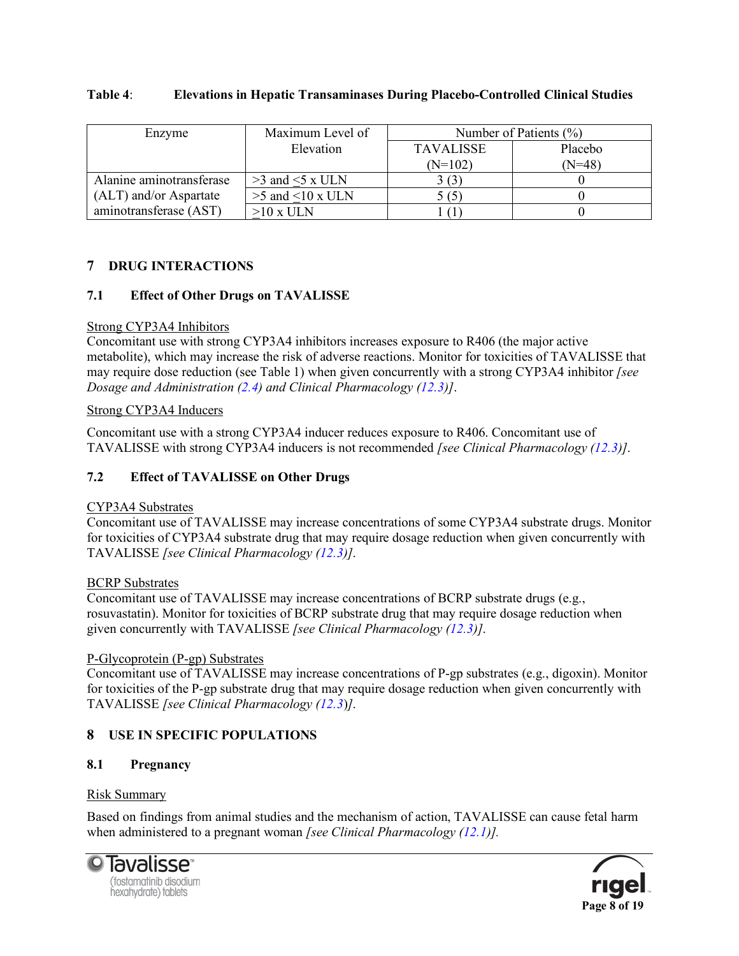| Enzyme                   | Maximum Level of     | Number of Patients $(\% )$ |          |  |
|--------------------------|----------------------|----------------------------|----------|--|
|                          | Elevation            | <b>TAVALISSE</b>           | Placebo  |  |
|                          |                      | $(N=102)$                  | $(N=48)$ |  |
| Alanine aminotransferase | $>3$ and $<5$ x ULN  | 3(3)                       |          |  |
| (ALT) and/or Aspartate   | $>5$ and $<10$ x ULN | 5(5)                       |          |  |
| aminotransferase (AST)   | $>10$ x ULN          |                            |          |  |

#### **Table 4**: **Elevations in Hepatic Transaminases During Placebo-Controlled Clinical Studies**

# **7 DRUG INTERACTIONS**

# **7.1 Effect of Other Drugs on TAVALISSE**

#### Strong CYP3A4 Inhibitors

Concomitant use with strong CYP3A4 inhibitors increases exposure to R406 (the major active metabolite), which may increase the risk of adverse reactions. Monitor for toxicities of TAVALISSE that may require dose reduction (see Table 1) when given concurrently with a strong CYP3A4 inhibitor *[see Dosage and Administration (2.4) and Clinical Pharmacology (12.3)]*.

#### Strong CYP3A4 Inducers

Concomitant use with a strong CYP3A4 inducer reduces exposure to R406. Concomitant use of TAVALISSE with strong CYP3A4 inducers is not recommended *[see Clinical Pharmacology (12.3)]*.

# **7.2 Effect of TAVALISSE on Other Drugs**

## CYP3A4 Substrates

Concomitant use of TAVALISSE may increase concentrations of some CYP3A4 substrate drugs. Monitor for toxicities of CYP3A4 substrate drug that may require dosage reduction when given concurrently with TAVALISSE *[see Clinical Pharmacology (12.3)]*.

## BCRP Substrates

Concomitant use of TAVALISSE may increase concentrations of BCRP substrate drugs (e.g., rosuvastatin). Monitor for toxicities of BCRP substrate drug that may require dosage reduction when given concurrently with TAVALISSE *[see Clinical Pharmacology (12.3)]*.

## P-Glycoprotein (P-gp) Substrates

Concomitant use of TAVALISSE may increase concentrations of P-gp substrates (e.g., digoxin). Monitor for toxicities of the P-gp substrate drug that may require dosage reduction when given concurrently with TAVALISSE *[see Clinical Pharmacology (12.3*)*]*.

## **8 USE IN SPECIFIC POPULATIONS**

## **8.1 Pregnancy**

#### Risk Summary

Based on findings from animal studies and the mechanism of action, TAVALISSE can cause fetal harm when administered to a pregnant woman *[see Clinical Pharmacology (12.1)].*



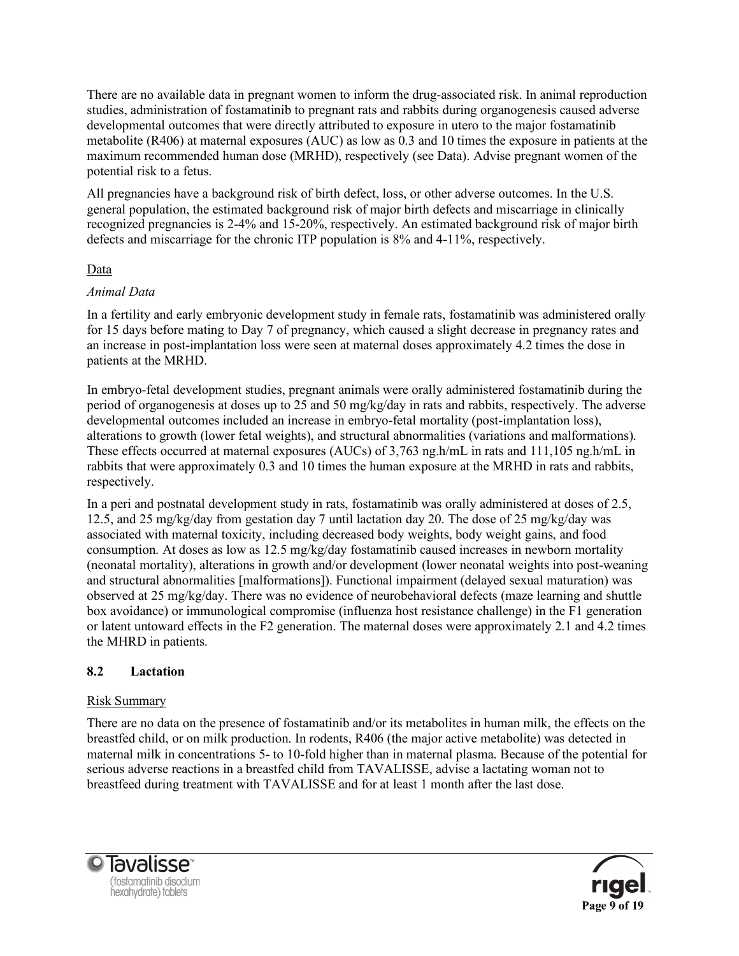There are no available data in pregnant women to inform the drug-associated risk. In animal reproduction studies, administration of fostamatinib to pregnant rats and rabbits during organogenesis caused adverse developmental outcomes that were directly attributed to exposure in utero to the major fostamatinib metabolite (R406) at maternal exposures (AUC) as low as  $\hat{0.3}$  and 10 times the exposure in patients at the maximum recommended human dose (MRHD), respectively (see Data). Advise pregnant women of the potential risk to a fetus.

All pregnancies have a background risk of birth defect, loss, or other adverse outcomes. In the U.S. general population, the estimated background risk of major birth defects and miscarriage in clinically recognized pregnancies is 2-4% and 15-20%, respectively. An estimated background risk of major birth defects and miscarriage for the chronic ITP population is 8% and 4-11%, respectively.

# Data

# *Animal Data*

In a fertility and early embryonic development study in female rats, fostamatinib was administered orally for 15 days before mating to Day 7 of pregnancy, which caused a slight decrease in pregnancy rates and an increase in post-implantation loss were seen at maternal doses approximately 4.2 times the dose in patients at the MRHD.

In embryo-fetal development studies, pregnant animals were orally administered fostamatinib during the period of organogenesis at doses up to 25 and 50 mg/kg/day in rats and rabbits, respectively. The adverse developmental outcomes included an increase in embryo-fetal mortality (post-implantation loss), alterations to growth (lower fetal weights), and structural abnormalities (variations and malformations). These effects occurred at maternal exposures (AUCs) of 3,763 ng.h/mL in rats and 111,105 ng.h/mL in rabbits that were approximately 0.3 and 10 times the human exposure at the MRHD in rats and rabbits, respectively.

In a peri and postnatal development study in rats, fostamatinib was orally administered at doses of 2.5, 12.5, and 25 mg/kg/day from gestation day 7 until lactation day 20. The dose of 25 mg/kg/day was associated with maternal toxicity, including decreased body weights, body weight gains, and food consumption. At doses as low as 12.5 mg/kg/day fostamatinib caused increases in newborn mortality (neonatal mortality), alterations in growth and/or development (lower neonatal weights into post-weaning and structural abnormalities [malformations]). Functional impairment (delayed sexual maturation) was observed at 25 mg/kg/day. There was no evidence of neurobehavioral defects (maze learning and shuttle box avoidance) or immunological compromise (influenza host resistance challenge) in the F1 generation or latent untoward effects in the F2 generation. The maternal doses were approximately 2.1 and 4.2 times the MHRD in patients.

## **8.2 Lactation**

## Risk Summary

There are no data on the presence of fostamatinib and/or its metabolites in human milk, the effects on the breastfed child, or on milk production. In rodents, R406 (the major active metabolite) was detected in maternal milk in concentrations 5- to 10-fold higher than in maternal plasma. Because of the potential for serious adverse reactions in a breastfed child from TAVALISSE, advise a lactating woman not to breastfeed during treatment with TAVALISSE and for at least 1 month after the last dose.



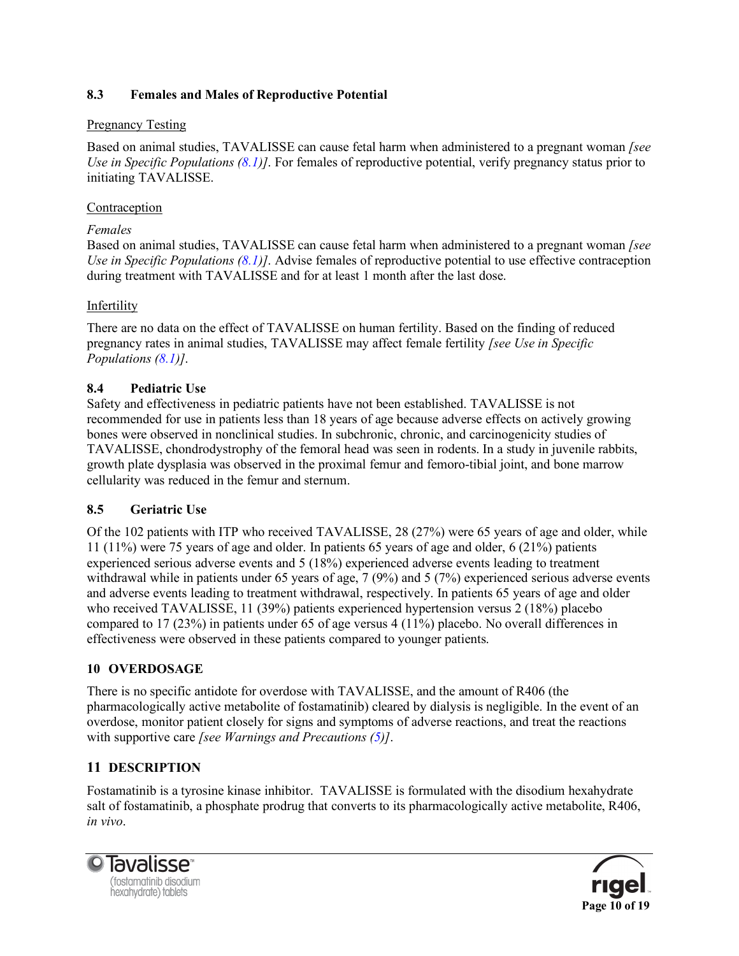# **8.3 Females and Males of Reproductive Potential**

## Pregnancy Testing

Based on animal studies, TAVALISSE can cause fetal harm when administered to a pregnant woman *[see Use in Specific Populations (8.1)]*. For females of reproductive potential, verify pregnancy status prior to initiating TAVALISSE.

# Contraception

# *Females*

Based on animal studies, TAVALISSE can cause fetal harm when administered to a pregnant woman *[see Use in Specific Populations (8.1)]*. Advise females of reproductive potential to use effective contraception during treatment with TAVALISSE and for at least 1 month after the last dose.

# Infertility

There are no data on the effect of TAVALISSE on human fertility. Based on the finding of reduced pregnancy rates in animal studies, TAVALISSE may affect female fertility *[see Use in Specific Populations (8.1)]*.

# **8.4 Pediatric Use**

Safety and effectiveness in pediatric patients have not been established. TAVALISSE is not recommended for use in patients less than 18 years of age because adverse effects on actively growing bones were observed in nonclinical studies. In subchronic, chronic, and carcinogenicity studies of TAVALISSE, chondrodystrophy of the femoral head was seen in rodents. In a study in juvenile rabbits, growth plate dysplasia was observed in the proximal femur and femoro-tibial joint, and bone marrow cellularity was reduced in the femur and sternum.

## **8.5 Geriatric Use**

Of the 102 patients with ITP who received TAVALISSE, 28 (27%) were 65 years of age and older, while 11 (11%) were 75 years of age and older. In patients 65 years of age and older, 6 (21%) patients experienced serious adverse events and 5 (18%) experienced adverse events leading to treatment withdrawal while in patients under 65 years of age, 7 (9%) and 5 (7%) experienced serious adverse events and adverse events leading to treatment withdrawal, respectively. In patients 65 years of age and older who received TAVALISSE, 11 (39%) patients experienced hypertension versus 2 (18%) placebo compared to 17 (23%) in patients under 65 of age versus 4 (11%) placebo. No overall differences in effectiveness were observed in these patients compared to younger patients.

## **10 OVERDOSAGE**

There is no specific antidote for overdose with TAVALISSE, and the amount of R406 (the pharmacologically active metabolite of fostamatinib) cleared by dialysis is negligible. In the event of an overdose, monitor patient closely for signs and symptoms of adverse reactions, and treat the reactions with supportive care *[see Warnings and Precautions (5)]*.

# **11 DESCRIPTION**

Fostamatinib is a tyrosine kinase inhibitor. TAVALISSE is formulated with the disodium hexahydrate salt of fostamatinib, a phosphate prodrug that converts to its pharmacologically active metabolite, R406, *in vivo*.



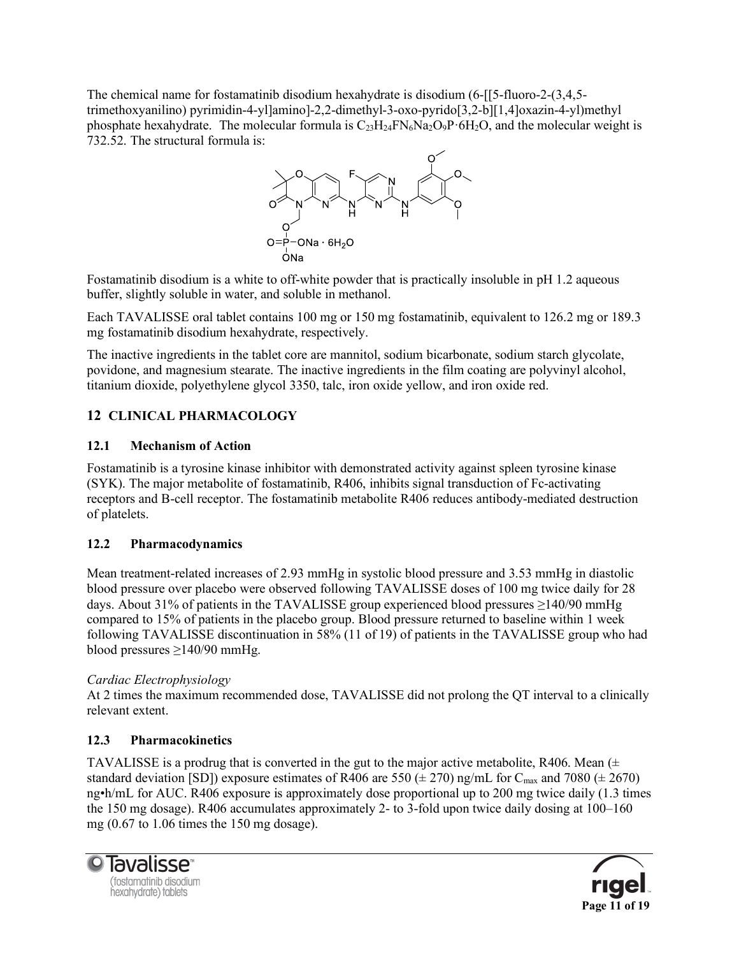The chemical name for fostamatinib disodium hexahydrate is disodium (6-[[5-fluoro-2-(3,4,5 trimethoxyanilino) pyrimidin-4-yl]amino]-2,2-dimethyl-3-oxo-pyrido[3,2-b][1,4]oxazin-4-yl)methyl phosphate hexahydrate. The molecular formula is  $C_{23}H_{24}FN_6N_{a2}O_9P \cdot 6H_2O$ , and the molecular weight is 732.52. The structural formula is:



Fostamatinib disodium is a white to off-white powder that is practically insoluble in pH 1.2 aqueous buffer, slightly soluble in water, and soluble in methanol.

Each TAVALISSE oral tablet contains 100 mg or 150 mg fostamatinib, equivalent to 126.2 mg or 189.3 mg fostamatinib disodium hexahydrate, respectively.

The inactive ingredients in the tablet core are mannitol, sodium bicarbonate, sodium starch glycolate, povidone, and magnesium stearate. The inactive ingredients in the film coating are polyvinyl alcohol, titanium dioxide, polyethylene glycol 3350, talc, iron oxide yellow, and iron oxide red.

# **12 CLINICAL PHARMACOLOGY**

# **12.1 Mechanism of Action**

Fostamatinib is a tyrosine kinase inhibitor with demonstrated activity against spleen tyrosine kinase (SYK). The major metabolite of fostamatinib, R406, inhibits signal transduction of Fc-activating receptors and B-cell receptor. The fostamatinib metabolite R406 reduces antibody-mediated destruction of platelets.

# **12.2 Pharmacodynamics**

Mean treatment-related increases of 2.93 mmHg in systolic blood pressure and 3.53 mmHg in diastolic blood pressure over placebo were observed following TAVALISSE doses of 100 mg twice daily for 28 days. About 31% of patients in the TAVALISSE group experienced blood pressures ≥140/90 mmHg compared to 15% of patients in the placebo group. Blood pressure returned to baseline within 1 week following TAVALISSE discontinuation in 58% (11 of 19) of patients in the TAVALISSE group who had blood pressures ≥140/90 mmHg.

## *Cardiac Electrophysiology*

At 2 times the maximum recommended dose, TAVALISSE did not prolong the QT interval to a clinically relevant extent.

# **12.3 Pharmacokinetics**

TAVALISSE is a prodrug that is converted in the gut to the major active metabolite, R406. Mean  $(±$ standard deviation [SD]) exposure estimates of R406 are 550 ( $\pm$  270) ng/mL for C<sub>max</sub> and 7080 ( $\pm$  2670) ng•h/mL for AUC. R406 exposure is approximately dose proportional up to 200 mg twice daily (1.3 times the 150 mg dosage). R406 accumulates approximately 2- to 3-fold upon twice daily dosing at 100–160 mg (0.67 to 1.06 times the 150 mg dosage).



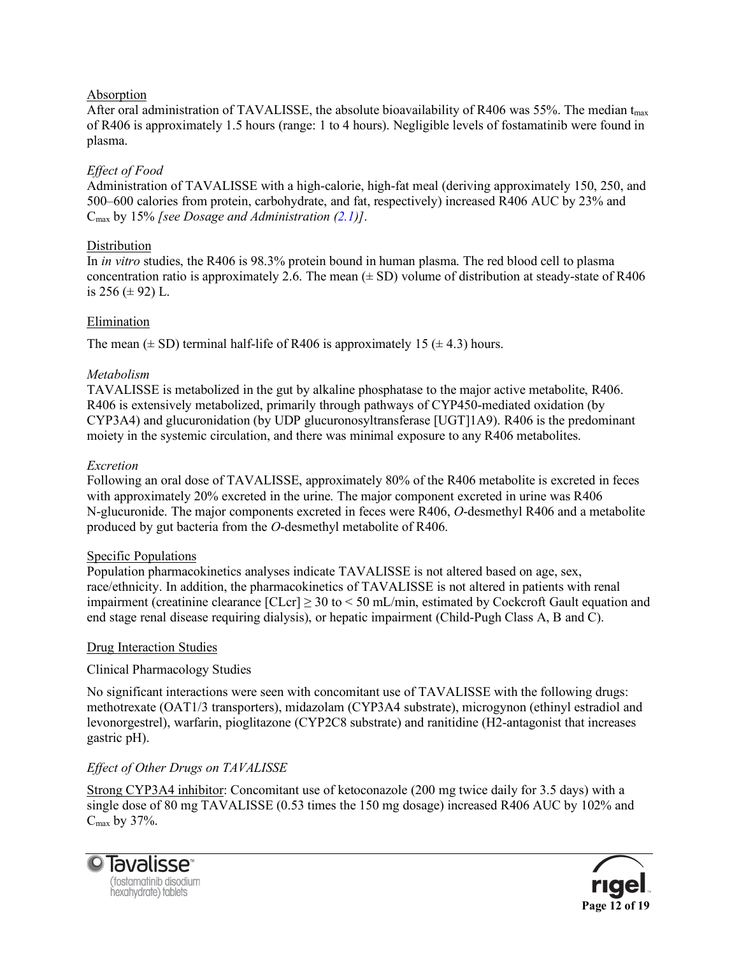## Absorption

After oral administration of TAVALISSE, the absolute bioavailability of R406 was 55%. The median t<sub>max</sub> of R406 is approximately 1.5 hours (range: 1 to 4 hours). Negligible levels of fostamatinib were found in plasma.

#### *Effect of Food*

Administration of TAVALISSE with a high-calorie, high-fat meal (deriving approximately 150, 250, and 500–600 calories from protein, carbohydrate, and fat, respectively) increased R406 AUC by 23% and Cmax by 15% *[see Dosage and Administration (2.1)]*.

## **Distribution**

In *in vitro* studies, the R406 is 98.3% protein bound in human plasma. The red blood cell to plasma concentration ratio is approximately 2.6. The mean  $(\pm SD)$  volume of distribution at steady-state of R406 is 256 ( $\pm$  92) L.

#### Elimination

The mean  $(\pm SD)$  terminal half-life of R406 is approximately 15  $(\pm 4.3)$  hours.

#### *Metabolism*

TAVALISSE is metabolized in the gut by alkaline phosphatase to the major active metabolite, R406. R406 is extensively metabolized, primarily through pathways of CYP450-mediated oxidation (by CYP3A4) and glucuronidation (by UDP glucuronosyltransferase [UGT]1A9). R406 is the predominant moiety in the systemic circulation, and there was minimal exposure to any R406 metabolites.

#### *Excretion*

Following an oral dose of TAVALISSE, approximately 80% of the R406 metabolite is excreted in feces with approximately 20% excreted in the urine. The major component excreted in urine was R406 N-glucuronide. The major components excreted in feces were R406, *O*-desmethyl R406 and a metabolite produced by gut bacteria from the *O*-desmethyl metabolite of R406.

#### Specific Populations

Population pharmacokinetics analyses indicate TAVALISSE is not altered based on age, sex, race/ethnicity. In addition, the pharmacokinetics of TAVALISSE is not altered in patients with renal impairment (creatinine clearance  $[CLcr] \geq 30$  to  $\lt 50$  mL/min, estimated by Cockcroft Gault equation and end stage renal disease requiring dialysis), or hepatic impairment (Child-Pugh Class A, B and C).

#### Drug Interaction Studies

## Clinical Pharmacology Studies

No significant interactions were seen with concomitant use of TAVALISSE with the following drugs: methotrexate (OAT1/3 transporters), midazolam (CYP3A4 substrate), microgynon (ethinyl estradiol and levonorgestrel), warfarin, pioglitazone (CYP2C8 substrate) and ranitidine (H2-antagonist that increases gastric pH).

## *Effect of Other Drugs on TAVALISSE*

Strong CYP3A4 inhibitor: Concomitant use of ketoconazole (200 mg twice daily for 3.5 days) with a single dose of 80 mg TAVALISSE (0.53 times the 150 mg dosage) increased R406 AUC by 102% and  $C_{\text{max}}$  by 37%.



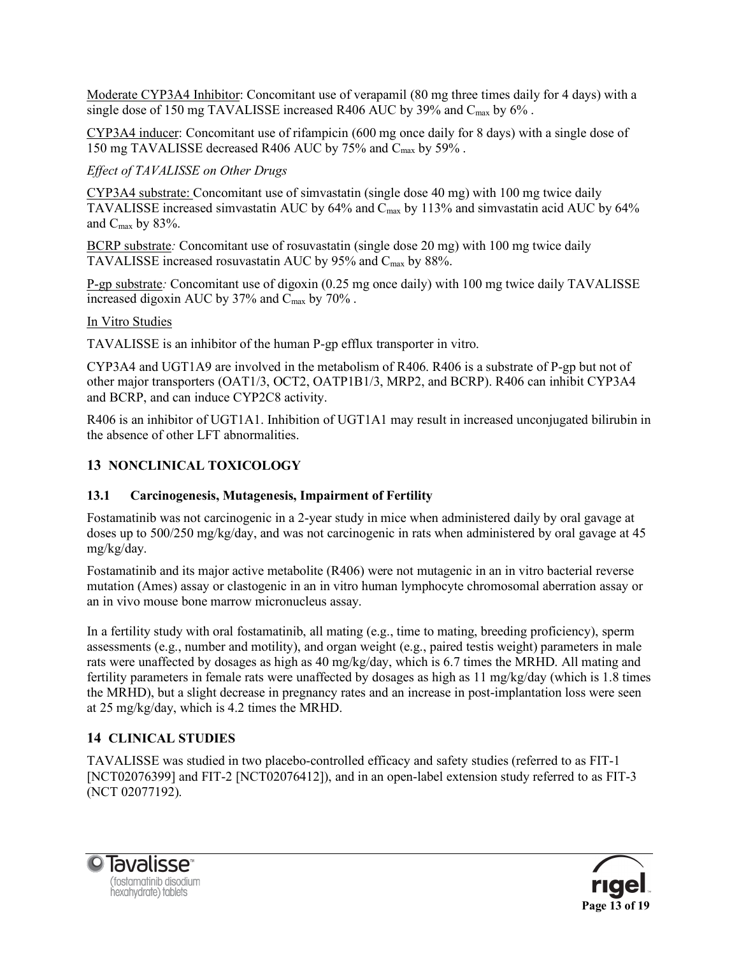Moderate CYP3A4 Inhibitor: Concomitant use of verapamil (80 mg three times daily for 4 days) with a single dose of 150 mg TAVALISSE increased R406 AUC by 39% and C<sub>max</sub> by 6%.

CYP3A4 inducer: Concomitant use of rifampicin (600 mg once daily for 8 days) with a single dose of 150 mg TAVALISSE decreased R406 AUC by 75% and Cmax by 59% .

*Effect of TAVALISSE on Other Drugs*

CYP3A4 substrate: Concomitant use of simvastatin (single dose 40 mg) with 100 mg twice daily TAVALISSE increased simvastatin AUC by 64% and Cmax by 113% and simvastatin acid AUC by 64% and  $C_{\text{max}}$  by 83%.

BCRP substrate*:* Concomitant use of rosuvastatin (single dose 20 mg) with 100 mg twice daily TAVALISSE increased rosuvastatin AUC by 95% and C<sub>max</sub> by 88%.

P-gp substrate*:* Concomitant use of digoxin (0.25 mg once daily) with 100 mg twice daily TAVALISSE increased digoxin AUC by 37% and C<sub>max</sub> by 70%.

In Vitro Studies

TAVALISSE is an inhibitor of the human P-gp efflux transporter in vitro.

CYP3A4 and UGT1A9 are involved in the metabolism of R406. R406 is a substrate of P-gp but not of other major transporters (OAT1/3, OCT2, OATP1B1/3, MRP2, and BCRP). R406 can inhibit CYP3A4 and BCRP, and can induce CYP2C8 activity.

R406 is an inhibitor of UGT1A1. Inhibition of UGT1A1 may result in increased unconjugated bilirubin in the absence of other LFT abnormalities.

# **13 NONCLINICAL TOXICOLOGY**

# **13.1 Carcinogenesis, Mutagenesis, Impairment of Fertility**

Fostamatinib was not carcinogenic in a 2-year study in mice when administered daily by oral gavage at doses up to 500/250 mg/kg/day, and was not carcinogenic in rats when administered by oral gavage at 45 mg/kg/day.

Fostamatinib and its major active metabolite (R406) were not mutagenic in an in vitro bacterial reverse mutation (Ames) assay or clastogenic in an in vitro human lymphocyte chromosomal aberration assay or an in vivo mouse bone marrow micronucleus assay.

In a fertility study with oral fostamatinib, all mating (e.g., time to mating, breeding proficiency), sperm assessments (e.g., number and motility), and organ weight (e.g., paired testis weight) parameters in male rats were unaffected by dosages as high as 40 mg/kg/day, which is 6.7 times the MRHD. All mating and fertility parameters in female rats were unaffected by dosages as high as 11 mg/kg/day (which is 1.8 times the MRHD), but a slight decrease in pregnancy rates and an increase in post-implantation loss were seen at 25 mg/kg/day, which is 4.2 times the MRHD.

# **14 CLINICAL STUDIES**

TAVALISSE was studied in two placebo-controlled efficacy and safety studies (referred to as FIT-1 [NCT02076399] and FIT-2 [NCT02076412]), and in an open-label extension study referred to as FIT-3 (NCT 02077192).



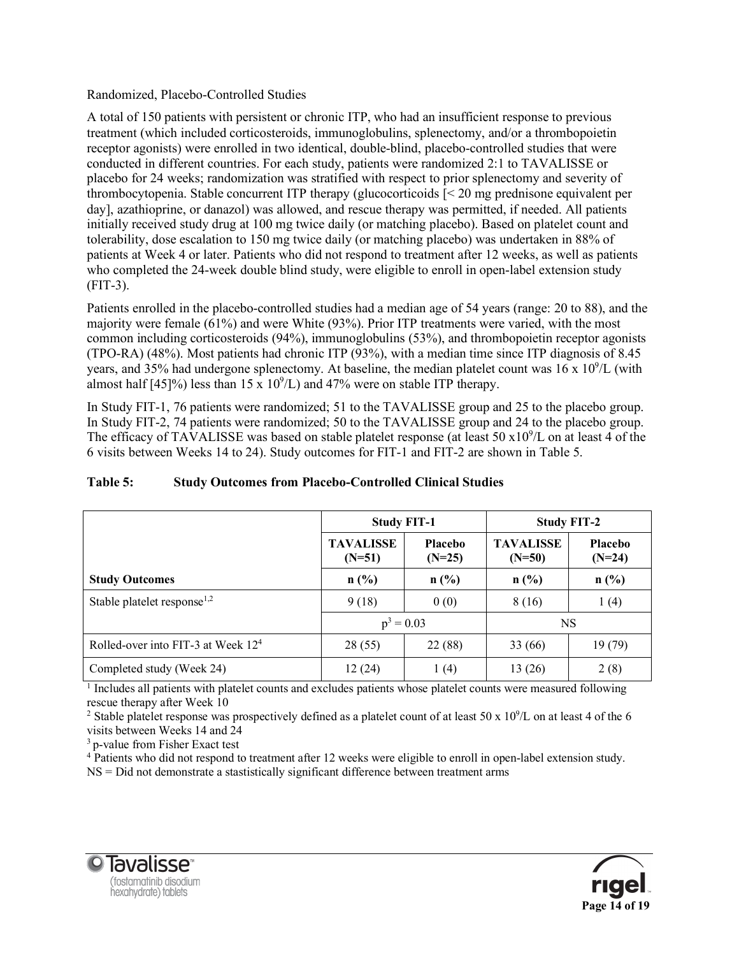Randomized, Placebo-Controlled Studies

A total of 150 patients with persistent or chronic ITP, who had an insufficient response to previous treatment (which included corticosteroids, immunoglobulins, splenectomy, and/or a thrombopoietin receptor agonists) were enrolled in two identical, double-blind, placebo-controlled studies that were conducted in different countries. For each study, patients were randomized 2:1 to TAVALISSE or placebo for 24 weeks; randomization was stratified with respect to prior splenectomy and severity of thrombocytopenia. Stable concurrent ITP therapy (glucocorticoids [< 20 mg prednisone equivalent per day], azathioprine, or danazol) was allowed, and rescue therapy was permitted, if needed. All patients initially received study drug at 100 mg twice daily (or matching placebo). Based on platelet count and tolerability, dose escalation to 150 mg twice daily (or matching placebo) was undertaken in 88% of patients at Week 4 or later. Patients who did not respond to treatment after 12 weeks, as well as patients who completed the 24-week double blind study, were eligible to enroll in open-label extension study (FIT-3).

Patients enrolled in the placebo-controlled studies had a median age of 54 years (range: 20 to 88), and the majority were female (61%) and were White (93%). Prior ITP treatments were varied, with the most common including corticosteroids (94%), immunoglobulins (53%), and thrombopoietin receptor agonists (TPO-RA) (48%). Most patients had chronic ITP (93%), with a median time since ITP diagnosis of 8.45 years, and 35% had undergone splenectomy. At baseline, the median platelet count was  $16 \times 10^9$ /L (with almost half [45]%) less than  $15 \times 10^9$ /L) and 47% were on stable ITP therapy.

In Study FIT-1, 76 patients were randomized; 51 to the TAVALISSE group and 25 to the placebo group. In Study FIT-2, 74 patients were randomized; 50 to the TAVALISSE group and 24 to the placebo group. The efficacy of TAVALISSE was based on stable platelet response (at least 50  $\times 10^9$ /L on at least 4 of the 6 visits between Weeks 14 to 24). Study outcomes for FIT-1 and FIT-2 are shown in Table 5.

|                                         | <b>Study FIT-1</b>                                  |         | <b>Study FIT-2</b>           |                     |  |
|-----------------------------------------|-----------------------------------------------------|---------|------------------------------|---------------------|--|
|                                         | <b>TAVALISSE</b><br>Placebo<br>$(N=51)$<br>$(N=25)$ |         | <b>TAVALISSE</b><br>$(N=50)$ | Placebo<br>$(N=24)$ |  |
| <b>Study Outcomes</b>                   | $n$ (%)                                             | n(%)    | $n$ (%)                      | n(%)                |  |
| Stable platelet response <sup>1,2</sup> | 9(18)                                               | 0(0)    | 8 (16)                       | 1(4)                |  |
|                                         | $p^3 = 0.03$                                        |         | NS                           |                     |  |
| Rolled-over into FIT-3 at Week $124$    | 28(55)                                              | 22 (88) | 33 (66)                      | 19 (79)             |  |
| Completed study (Week 24)               | 12(24)                                              | 1(4)    | 13(26)                       | 2(8)                |  |

## **Table 5: Study Outcomes from Placebo-Controlled Clinical Studies**

<sup>1</sup> Includes all patients with platelet counts and excludes patients whose platelet counts were measured following rescue therapy after Week 10

<sup>2</sup> Stable platelet response was prospectively defined as a platelet count of at least 50 x 10<sup>9</sup>/L on at least 4 of the 6 visits between Weeks 14 and 24

3 p-value from Fisher Exact test

<sup>4</sup> Patients who did not respond to treatment after 12 weeks were eligible to enroll in open-label extension study. NS = Did not demonstrate a stastistically significant difference between treatment arms



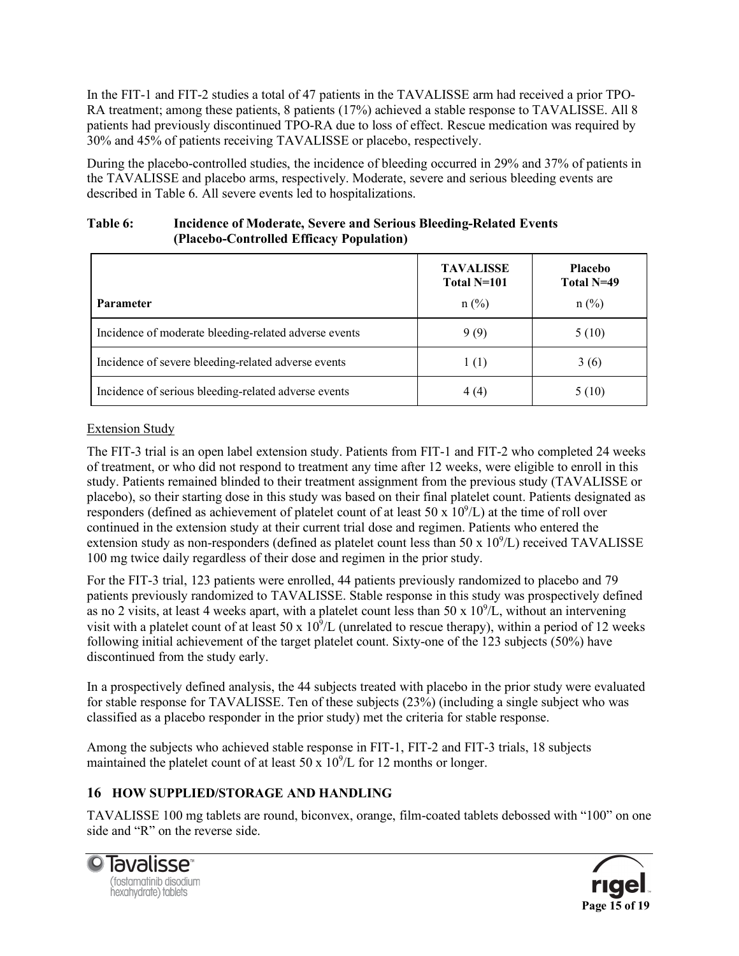In the FIT-1 and FIT-2 studies a total of 47 patients in the TAVALISSE arm had received a prior TPO-RA treatment; among these patients, 8 patients (17%) achieved a stable response to TAVALISSE. All 8 patients had previously discontinued TPO-RA due to loss of effect. Rescue medication was required by 30% and 45% of patients receiving TAVALISSE or placebo, respectively.

During the placebo-controlled studies, the incidence of bleeding occurred in 29% and 37% of patients in the TAVALISSE and placebo arms, respectively. Moderate, severe and serious bleeding events are described in Table 6. All severe events led to hospitalizations.

#### **Table 6: Incidence of Moderate, Severe and Serious Bleeding-Related Events (Placebo-Controlled Efficacy Population)**

|                                                       | <b>TAVALISSE</b><br>Total N=101 | <b>Placebo</b><br>Total N=49 |
|-------------------------------------------------------|---------------------------------|------------------------------|
| <b>Parameter</b>                                      | $n$ (%)                         | $n$ (%)                      |
| Incidence of moderate bleeding-related adverse events | 9(9)                            | 5(10)                        |
| Incidence of severe bleeding-related adverse events   | 1(1)                            | 3(6)                         |
| Incidence of serious bleeding-related adverse events  | 4(4)                            | 5(10)                        |

# Extension Study

The FIT-3 trial is an open label extension study. Patients from FIT-1 and FIT-2 who completed 24 weeks of treatment, or who did not respond to treatment any time after 12 weeks, were eligible to enroll in this study. Patients remained blinded to their treatment assignment from the previous study (TAVALISSE or placebo), so their starting dose in this study was based on their final platelet count. Patients designated as responders (defined as achievement of platelet count of at least 50 x  $10^9$ /L) at the time of roll over continued in the extension study at their current trial dose and regimen. Patients who entered the extension study as non-responders (defined as platelet count less than  $50 \times 10^9$ /L) received TAVALISSE 100 mg twice daily regardless of their dose and regimen in the prior study.

For the FIT-3 trial, 123 patients were enrolled, 44 patients previously randomized to placebo and 79 patients previously randomized to TAVALISSE. Stable response in this study was prospectively defined as no 2 visits, at least 4 weeks apart, with a platelet count less than 50 x  $10^9/L$ , without an intervening visit with a platelet count of at least 50 x  $10^9$ /L (unrelated to rescue therapy), within a period of 12 weeks following initial achievement of the target platelet count. Sixty-one of the 123 subjects (50%) have discontinued from the study early.

In a prospectively defined analysis, the 44 subjects treated with placebo in the prior study were evaluated for stable response for TAVALISSE. Ten of these subjects (23%) (including a single subject who was classified as a placebo responder in the prior study) met the criteria for stable response.

Among the subjects who achieved stable response in FIT-1, FIT-2 and FIT-3 trials, 18 subjects maintained the platelet count of at least 50 x  $10^9$ /L for 12 months or longer.

# **16 HOW SUPPLIED/STORAGE AND HANDLING**

TAVALISSE 100 mg tablets are round, biconvex, orange, film-coated tablets debossed with "100" on one side and "R" on the reverse side.



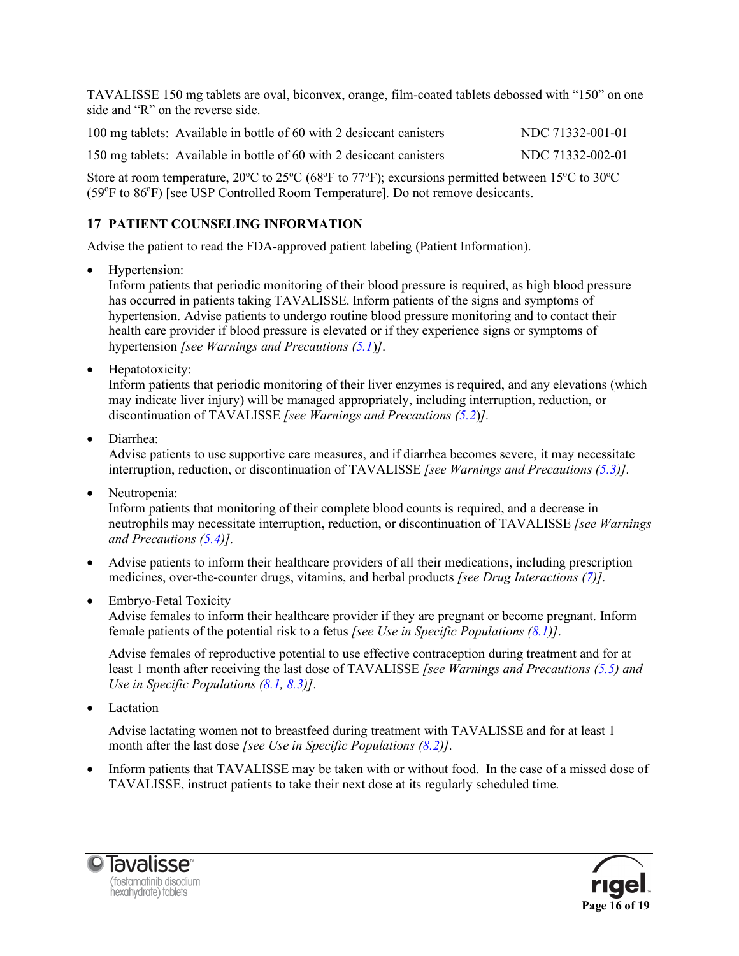TAVALISSE 150 mg tablets are oval, biconvex, orange, film-coated tablets debossed with "150" on one side and "R" on the reverse side.

| 100 mg tablets: Available in bottle of 60 with 2 desiceant canisters | NDC 71332-001-01 |
|----------------------------------------------------------------------|------------------|
| 150 mg tablets: Available in bottle of 60 with 2 desiceant canisters | NDC 71332-002-01 |

Store at room temperature,  $20^{\circ}$ C to  $25^{\circ}$ C (68<sup>°</sup>F to 77<sup>°</sup>F); excursions permitted between 15<sup>°</sup>C to 30<sup>°</sup>C (59°F to 86°F) [see USP Controlled Room Temperature]. Do not remove desiccants.

# **17 PATIENT COUNSELING INFORMATION**

Advise the patient to read the FDA-approved patient labeling (Patient Information).

• Hypertension:

Inform patients that periodic monitoring of their blood pressure is required, as high blood pressure has occurred in patients taking TAVALISSE. Inform patients of the signs and symptoms of hypertension. Advise patients to undergo routine blood pressure monitoring and to contact their health care provider if blood pressure is elevated or if they experience signs or symptoms of hypertension *[see Warnings and Precautions (5.1*)*]*.

• Hepatotoxicity:

Inform patients that periodic monitoring of their liver enzymes is required, and any elevations (which may indicate liver injury) will be managed appropriately, including interruption, reduction, or discontinuation of TAVALISSE *[see Warnings and Precautions (5.2*)*]*.

• Diarrhea:

Advise patients to use supportive care measures, and if diarrhea becomes severe, it may necessitate interruption, reduction, or discontinuation of TAVALISSE *[see Warnings and Precautions (5.3)]*.

• Neutropenia:

Inform patients that monitoring of their complete blood counts is required, and a decrease in neutrophils may necessitate interruption, reduction, or discontinuation of TAVALISSE *[see Warnings and Precautions (5.4)]*.

- Advise patients to inform their healthcare providers of all their medications, including prescription medicines, over-the-counter drugs, vitamins, and herbal products *[see Drug Interactions (7)]*.
- Embryo-Fetal Toxicity

Advise females to inform their healthcare provider if they are pregnant or become pregnant. Inform female patients of the potential risk to a fetus *[see Use in Specific Populations (8.1)]*.

Advise females of reproductive potential to use effective contraception during treatment and for at least 1 month after receiving the last dose of TAVALISSE *[see Warnings and Precautions (5.5) and Use in Specific Populations (8.1, 8.3)]*.

• Lactation

Advise lactating women not to breastfeed during treatment with TAVALISSE and for at least 1 month after the last dose *[see Use in Specific Populations (8.2)]*.

• Inform patients that TAVALISSE may be taken with or without food. In the case of a missed dose of TAVALISSE, instruct patients to take their next dose at its regularly scheduled time.



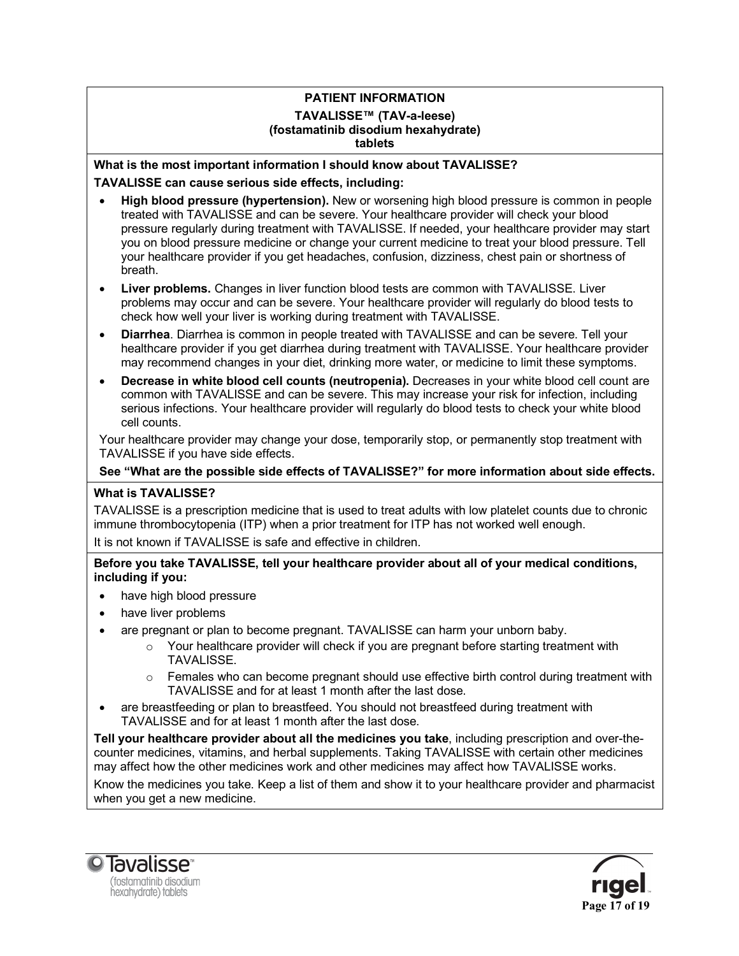#### **PATIENT INFORMATION TAVALISSE™ (TAV-a-leese) (fostamatinib disodium hexahydrate) tablets**

#### **What is the most important information I should know about TAVALISSE? TAVALISSE can cause serious side effects, including:**

- **High blood pressure (hypertension).** New or worsening high blood pressure is common in people treated with TAVALISSE and can be severe. Your healthcare provider will check your blood pressure regularly during treatment with TAVALISSE. If needed, your healthcare provider may start you on blood pressure medicine or change your current medicine to treat your blood pressure. Tell your healthcare provider if you get headaches, confusion, dizziness, chest pain or shortness of breath.
- **Liver problems.** Changes in liver function blood tests are common with TAVALISSE. Liver problems may occur and can be severe. Your healthcare provider will regularly do blood tests to check how well your liver is working during treatment with TAVALISSE.
- **Diarrhea**. Diarrhea is common in people treated with TAVALISSE and can be severe. Tell your healthcare provider if you get diarrhea during treatment with TAVALISSE. Your healthcare provider may recommend changes in your diet, drinking more water, or medicine to limit these symptoms.
- **Decrease in white blood cell counts (neutropenia).** Decreases in your white blood cell count are common with TAVALISSE and can be severe. This may increase your risk for infection, including serious infections. Your healthcare provider will regularly do blood tests to check your white blood cell counts.

Your healthcare provider may change your dose, temporarily stop, or permanently stop treatment with TAVALISSE if you have side effects.

#### **See "What are the possible side effects of TAVALISSE?" for more information about side effects.**

#### **What is TAVALISSE?**

TAVALISSE is a prescription medicine that is used to treat adults with low platelet counts due to chronic immune thrombocytopenia (ITP) when a prior treatment for ITP has not worked well enough.

It is not known if TAVALISSE is safe and effective in children.

#### **Before you take TAVALISSE, tell your healthcare provider about all of your medical conditions, including if you:**

- have high blood pressure
- have liver problems
- are pregnant or plan to become pregnant. TAVALISSE can harm your unborn baby.
	- Your healthcare provider will check if you are pregnant before starting treatment with TAVALISSE.
	- o Females who can become pregnant should use effective birth control during treatment with TAVALISSE and for at least 1 month after the last dose.
- are breastfeeding or plan to breastfeed. You should not breastfeed during treatment with TAVALISSE and for at least 1 month after the last dose.

**Tell your healthcare provider about all the medicines you take**, including prescription and over-thecounter medicines, vitamins, and herbal supplements. Taking TAVALISSE with certain other medicines may affect how the other medicines work and other medicines may affect how TAVALISSE works.

Know the medicines you take. Keep a list of them and show it to your healthcare provider and pharmacist when you get a new medicine.



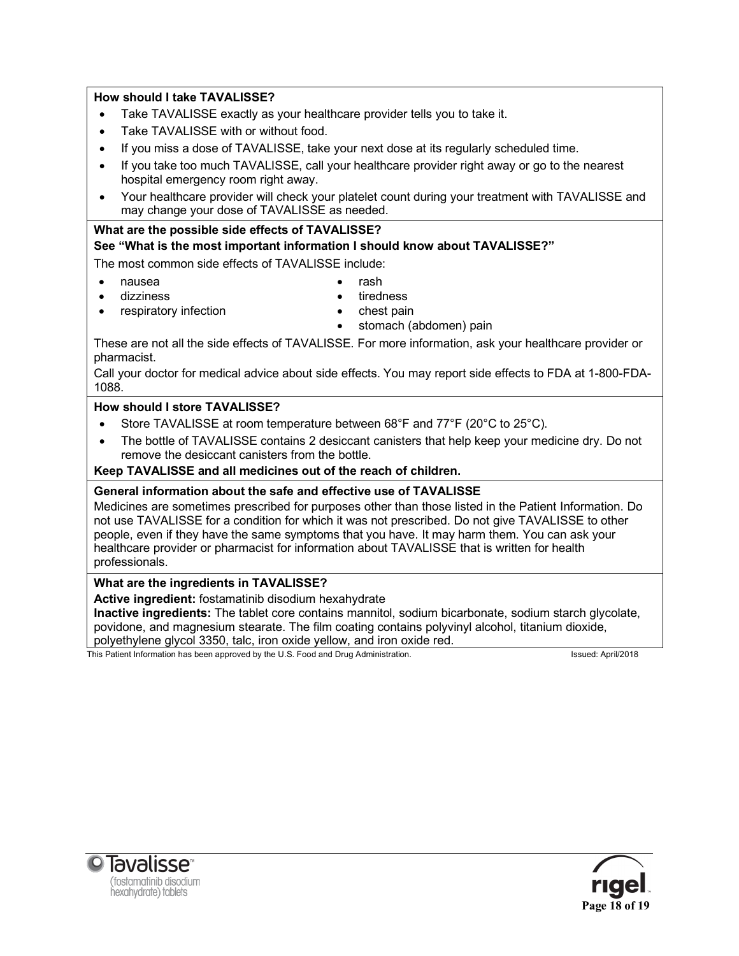#### **How should I take TAVALISSE?**

- Take TAVALISSE exactly as your healthcare provider tells you to take it.
- Take TAVALISSE with or without food.
- If you miss a dose of TAVALISSE, take your next dose at its regularly scheduled time.
- If you take too much TAVALISSE, call your healthcare provider right away or go to the nearest hospital emergency room right away.
- Your healthcare provider will check your platelet count during your treatment with TAVALISSE and may change your dose of TAVALISSE as needed.

#### **What are the possible side effects of TAVALISSE?**

#### **See "What is the most important information I should know about TAVALISSE?"**

The most common side effects of TAVALISSE include:

• nausea

• rash

• dizziness

- **tiredness** • chest pain
- respiratory infection

stomach (abdomen) pain

These are not all the side effects of TAVALISSE. For more information, ask your healthcare provider or pharmacist.

Call your doctor for medical advice about side effects. You may report side effects to FDA at 1-800-FDA-1088.

#### **How should I store TAVALISSE?**

- Store TAVALISSE at room temperature between 68°F and 77°F (20°C to 25°C).
- The bottle of TAVALISSE contains 2 desiccant canisters that help keep your medicine dry. Do not remove the desiccant canisters from the bottle.

#### **Keep TAVALISSE and all medicines out of the reach of children.**

#### **General information about the safe and effective use of TAVALISSE**

Medicines are sometimes prescribed for purposes other than those listed in the Patient Information. Do not use TAVALISSE for a condition for which it was not prescribed. Do not give TAVALISSE to other people, even if they have the same symptoms that you have. It may harm them. You can ask your healthcare provider or pharmacist for information about TAVALISSE that is written for health professionals.

#### **What are the ingredients in TAVALISSE?**

**Active ingredient:** fostamatinib disodium hexahydrate

**Inactive ingredients:** The tablet core contains mannitol, sodium bicarbonate, sodium starch glycolate, povidone, and magnesium stearate. The film coating contains polyvinyl alcohol, titanium dioxide, polyethylene glycol 3350, talc, iron oxide yellow, and iron oxide red.

This Patient Information has been approved by the U.S. Food and Drug Administration. In the State of the Insulation of the U.S. Food and Drug Administration.